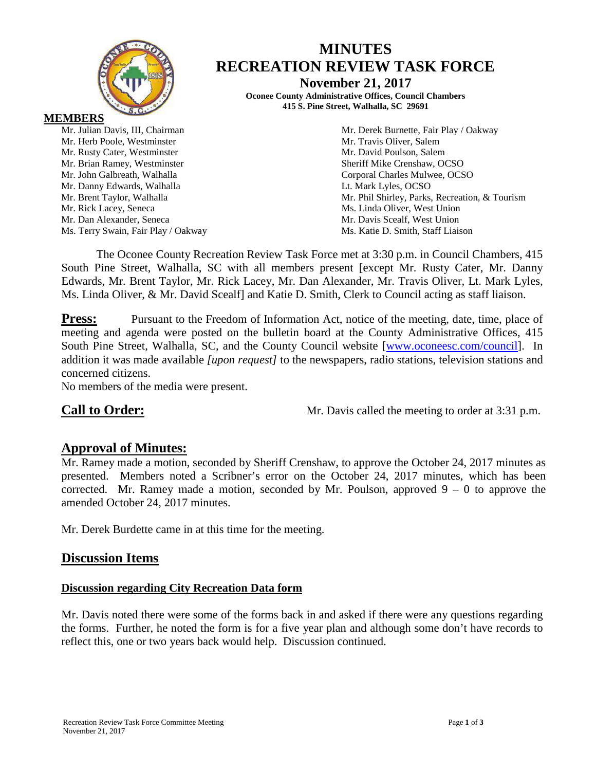

# **MINUTES RECREATION REVIEW TASK FORCE**

**November 21, 2017**

**Oconee County Administrative Offices, Council Chambers 415 S. Pine Street, Walhalla, SC 29691**

**MEMBERS**

Mr. Herb Poole, Westminster Mr. Travis Oliver, Salem Mr. Rusty Cater, Westminster Mr. David Poulson, Salem Mr. Brian Ramey, Westminster Sheriff Mike Crenshaw, OCSO Mr. John Galbreath, Walhalla Corporal Charles Mulwee, OCSO Mr. Danny Edwards, Walhalla **Letter and Luis Containers** Lt. Mark Lyles, OCSO Mr. Rick Lacey, Seneca<br>
Mr. Dan Alexander, Seneca<br>
Mr. Davis Scealf, West Union<br>
Mr. Davis Scealf, West Union Mr. Dan Alexander, Seneca Ms. Terry Swain, Fair Play / Oakway Ms. Katie D. Smith, Staff Liaison

Mr. Julian Davis, III, Chairman Mr. Derek Burnette, Fair Play / Oakway Mr. Brent Taylor, Walhalla Mr. Phil Shirley, Parks, Recreation, & Tourism

The Oconee County Recreation Review Task Force met at 3:30 p.m. in Council Chambers, 415 South Pine Street, Walhalla, SC with all members present [except Mr. Rusty Cater, Mr. Danny Edwards, Mr. Brent Taylor, Mr. Rick Lacey, Mr. Dan Alexander, Mr. Travis Oliver, Lt. Mark Lyles, Ms. Linda Oliver, & Mr. David Scealf] and Katie D. Smith, Clerk to Council acting as staff liaison.

**Press:** Pursuant to the Freedom of Information Act, notice of the meeting, date, time, place of meeting and agenda were posted on the bulletin board at the County Administrative Offices, 415 South Pine Street, Walhalla, SC, and the County Council website [\[www.oconeesc.com/council\]](http://www.oconeesc.com/council). In addition it was made available *[upon request]* to the newspapers, radio stations, television stations and concerned citizens.

No members of the media were present.

**Call to Order:** Mr. Davis called the meeting to order at 3:31 p.m.

# **Approval of Minutes:**

Mr. Ramey made a motion, seconded by Sheriff Crenshaw, to approve the October 24, 2017 minutes as presented. Members noted a Scribner's error on the October 24, 2017 minutes, which has been corrected. Mr. Ramey made a motion, seconded by Mr. Poulson, approved  $9 - 0$  to approve the amended October 24, 2017 minutes.

Mr. Derek Burdette came in at this time for the meeting.

# **Discussion Items**

# **Discussion regarding City Recreation Data form**

Mr. Davis noted there were some of the forms back in and asked if there were any questions regarding the forms. Further, he noted the form is for a five year plan and although some don't have records to reflect this, one or two years back would help. Discussion continued.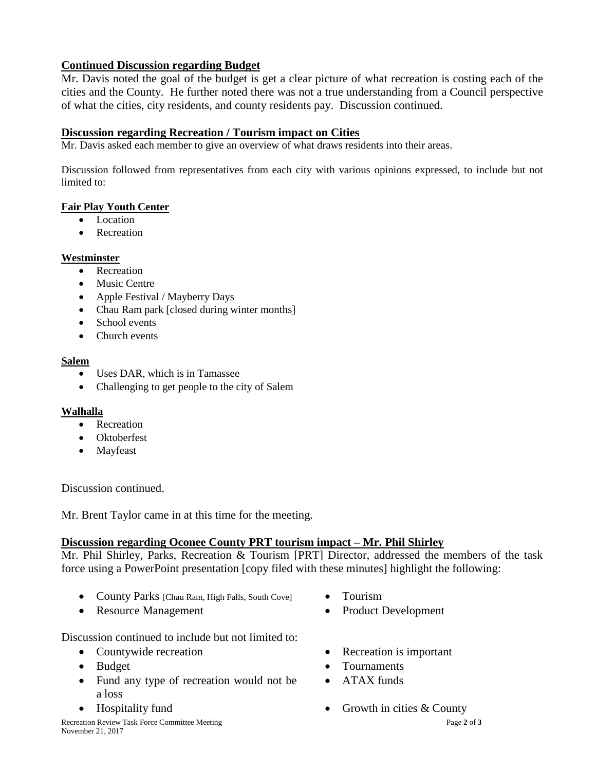# **Continued Discussion regarding Budget**

Mr. Davis noted the goal of the budget is get a clear picture of what recreation is costing each of the cities and the County. He further noted there was not a true understanding from a Council perspective of what the cities, city residents, and county residents pay. Discussion continued.

## **Discussion regarding Recreation / Tourism impact on Cities**

Mr. Davis asked each member to give an overview of what draws residents into their areas.

Discussion followed from representatives from each city with various opinions expressed, to include but not limited to:

#### **Fair Play Youth Center**

- Location
- Recreation

#### **Westminster**

- Recreation
- Music Centre
- Apple Festival / Mayberry Days
- Chau Ram park [closed during winter months]
- School events
- Church events

#### **Salem**

- Uses DAR, which is in Tamassee
- Challenging to get people to the city of Salem

#### **Walhalla**

- Recreation
- Oktoberfest
- Mayfeast

Discussion continued.

Mr. Brent Taylor came in at this time for the meeting.

### **Discussion regarding Oconee County PRT tourism impact – Mr. Phil Shirley**

Mr. Phil Shirley, Parks, Recreation & Tourism [PRT] Director, addressed the members of the task force using a PowerPoint presentation [copy filed with these minutes] highlight the following:

- County Parks [Chau Ram, High Falls, South Cove] Tourism
- Resource Management Product Development
- -

Discussion continued to include but not limited to:

- Countywide recreation Recreation Recreation is important
- 
- Fund any type of recreation would not be a loss
- 
- 
- Budget Tournaments
	- ATAX funds
- Hospitality fund Growth in cities & County